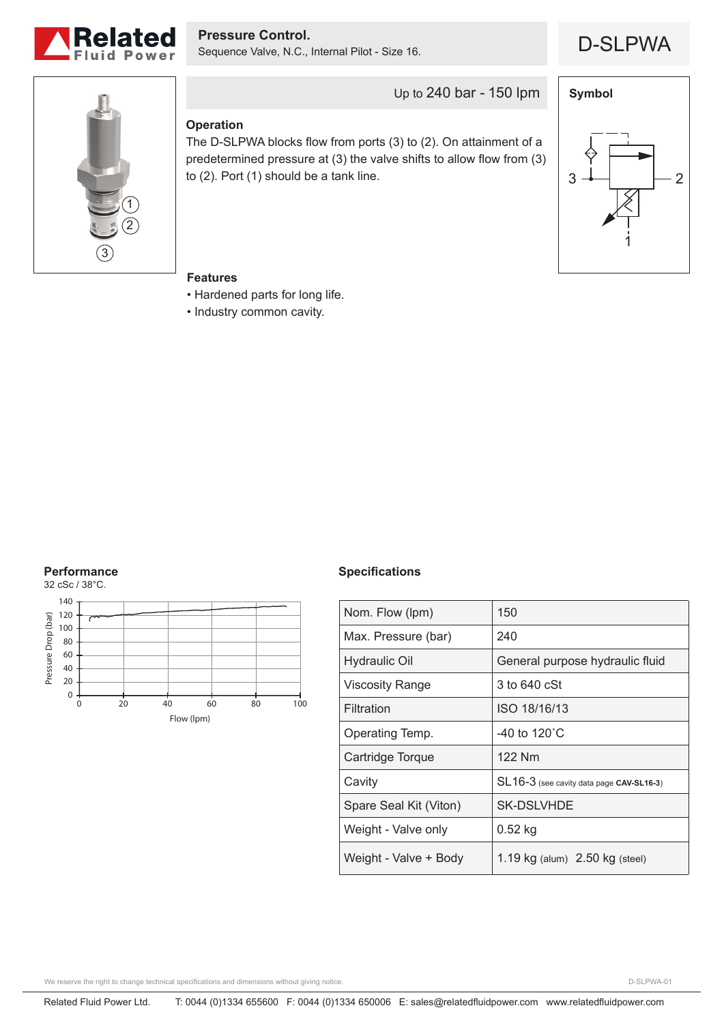

D-SLPWA **Pressure Control.** Sequence Valve, N.C., Internal Pilot - Size 16.



Up to 240 bar - 150 lpm

### **Operation**

The D-SLPWA blocks flow from ports (3) to (2). On attainment of a predetermined pressure at (3) the valve shifts to allow flow from (3) to (2). Port (1) should be a tank line.



#### **Features**

- Hardened parts for long life.
- Industry common cavity.

## **Performance**



#### **Specifications**

| Nom. Flow (lpm)        | 150                                      |
|------------------------|------------------------------------------|
| Max. Pressure (bar)    | 240                                      |
| <b>Hydraulic Oil</b>   | General purpose hydraulic fluid          |
| <b>Viscosity Range</b> | 3 to 640 cSt                             |
| Filtration             | ISO 18/16/13                             |
| Operating Temp.        | -40 to 120 $^{\circ}$ C                  |
| Cartridge Torque       | 122 Nm                                   |
| Cavity                 | SL16-3 (see cavity data page CAV-SL16-3) |
| Spare Seal Kit (Viton) | SK-DSLVHDE                               |
| Weight - Valve only    | $0.52$ kg                                |
| Weight - Valve + Body  | 1.19 $kg$ (alum) $2.50$ kg (steel)       |

We reserve the right to change technical specifications and dimensions without giving notice.